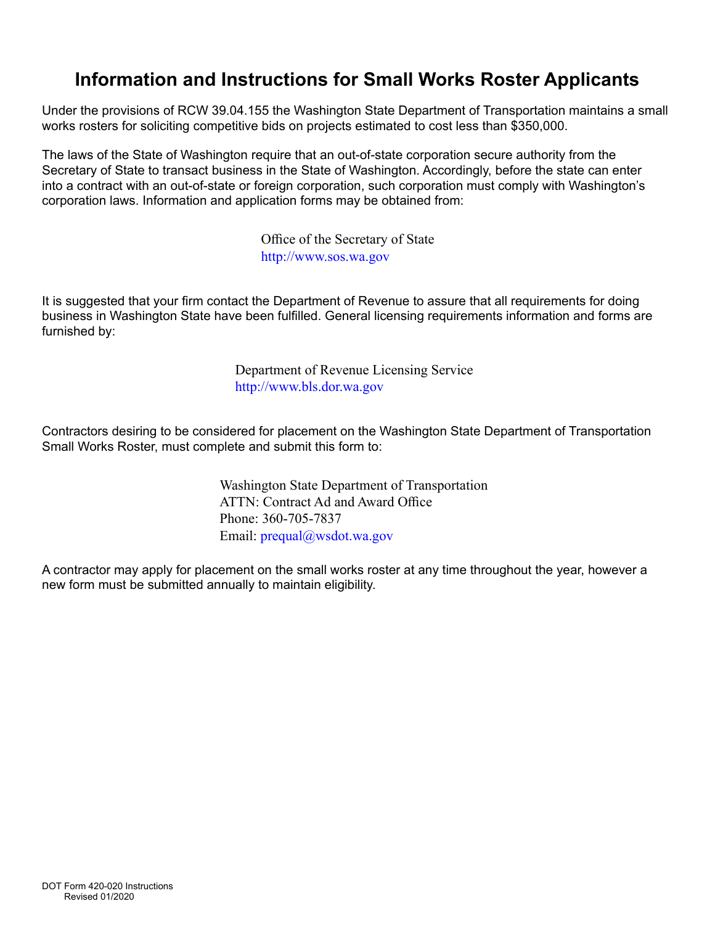# **Information and Instructions for Small Works Roster Applicants**

Under the provisions of RCW 39.04.155 the Washington State Department of Transportation maintains a small works rosters for soliciting competitive bids on projects estimated to cost less than \$350,000.

The laws of the State of Washington require that an out-of-state corporation secure authority from the Secretary of State to transact business in the State of Washington. Accordingly, before the state can enter into a contract with an out-of-state or foreign corporation, such corporation must comply with Washington's corporation laws. Information and application forms may be obtained from:

> Office of the Secretary of State <http://www.sos.wa.gov>

It is suggested that your firm contact the Department of Revenue to assure that all requirements for doing business in Washington State have been fulfilled. General licensing requirements information and forms are furnished by:

> Department of Revenue Licensing Service <http://www.bls.dor.wa.gov>

Contractors desiring to be considered for placement on the Washington State Department of Transportation Small Works Roster, must complete and submit this form to:

> Washington State Department of Transportation ATTN: Contract Ad and Award Office Phone: 360-705-7837 Email: prequal@wsdot.wa.gov

A contractor may apply for placement on the small works roster at any time throughout the year, however a new form must be submitted annually to maintain eligibility.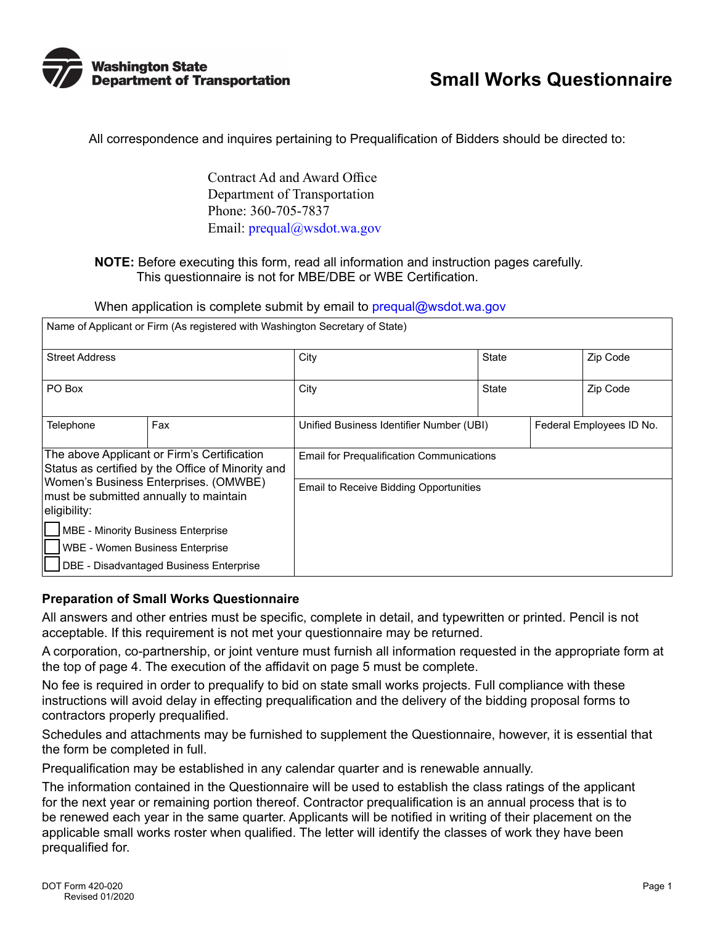

All correspondence and inquires pertaining to Prequalification of Bidders should be directed to:

Contract Ad and Award Office Department of Transportation Phone: 360-705-7837 Email: [prequal@wsdot.wa.gov](mailto:prequal%40wsdot.wa.gov?subject=)

#### **NOTE:** Before executing this form, read all information and instruction pages carefully. This questionnaire is not for MBE/DBE or WBE Certification.

When application is complete submit by email to prequal@wsdot.wa.gov

| Name of Applicant or Firm (As registered with Washington Secretary of State)                     |     |                                                  |              |  |                          |
|--------------------------------------------------------------------------------------------------|-----|--------------------------------------------------|--------------|--|--------------------------|
| <b>Street Address</b>                                                                            |     | City                                             | <b>State</b> |  | Zip Code                 |
| PO Box                                                                                           |     | City                                             | <b>State</b> |  | Zip Code                 |
| Telephone                                                                                        | Fax | Unified Business Identifier Number (UBI)         |              |  | Federal Employees ID No. |
| The above Applicant or Firm's Certification<br>Status as certified by the Office of Minority and |     | <b>Email for Prequalification Communications</b> |              |  |                          |
| Women's Business Enterprises. (OMWBE)<br>must be submitted annually to maintain<br>eligibility:  |     | Email to Receive Bidding Opportunities           |              |  |                          |
| <b>MBE - Minority Business Enterprise</b>                                                        |     |                                                  |              |  |                          |
| <b>WBE - Women Business Enterprise</b>                                                           |     |                                                  |              |  |                          |
| DBE - Disadvantaged Business Enterprise                                                          |     |                                                  |              |  |                          |

#### **Preparation of Small Works Questionnaire**

All answers and other entries must be specific, complete in detail, and typewritten or printed. Pencil is not acceptable. If this requirement is not met your questionnaire may be returned.

A corporation, co-partnership, or joint venture must furnish all information requested in the appropriate form at the top of page 4. The execution of the affidavit on page 5 must be complete.

No fee is required in order to prequalify to bid on state small works projects. Full compliance with these instructions will avoid delay in effecting prequalification and the delivery of the bidding proposal forms to contractors properly prequalified.

Schedules and attachments may be furnished to supplement the Questionnaire, however, it is essential that the form be completed in full.

Prequalification may be established in any calendar quarter and is renewable annually.

The information contained in the Questionnaire will be used to establish the class ratings of the applicant for the next year or remaining portion thereof. Contractor prequalification is an annual process that is to be renewed each year in the same quarter. Applicants will be notified in writing of their placement on the applicable small works roster when qualified. The letter will identify the classes of work they have been prequalified for.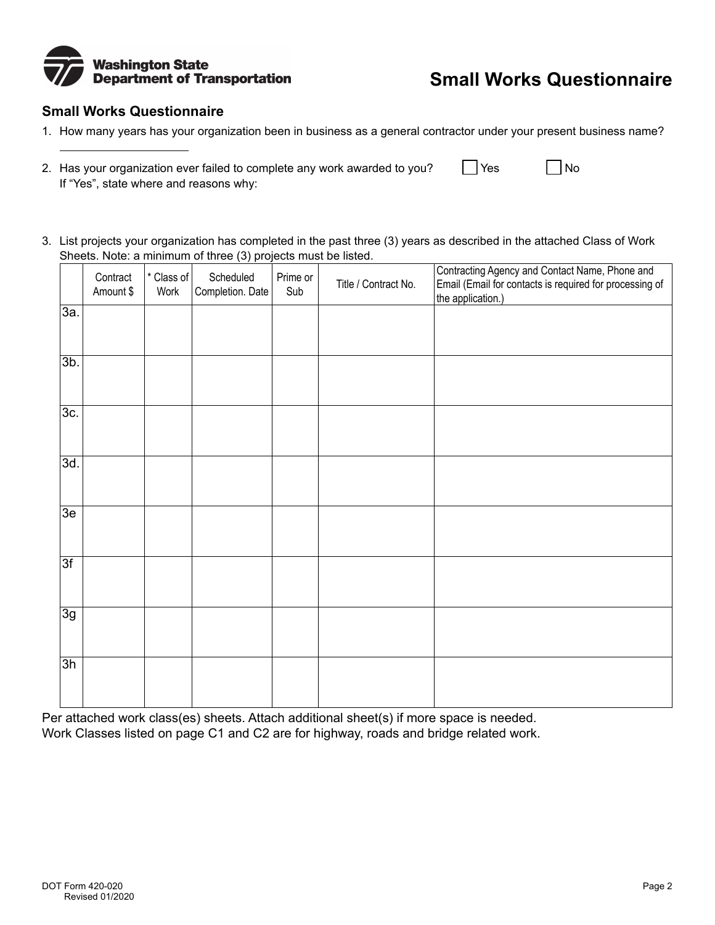

# **Small Works Questionnaire**

### **Small Works Questionnaire**

- 1. How many years has your organization been in business as a general contractor under your present business name?
- 2. Has your organization ever failed to complete any work awarded to you?  $\Box$  Yes  $\Box$  No If "Yes", state where and reasons why:
- 3. List projects your organization has completed in the past three (3) years as described in the attached Class of Work Sheets. Note: a minimum of three (3) projects must be listed.

|                 | Contract<br>Amount \$ | * Class of<br>Work | Scheduled<br>Completion. Date | Prime or<br>Sub | Title / Contract No. | Contracting Agency and Contact Name, Phone and<br>Email (Email for contacts is required for processing of<br>the application.) |
|-----------------|-----------------------|--------------------|-------------------------------|-----------------|----------------------|--------------------------------------------------------------------------------------------------------------------------------|
| 3a.             |                       |                    |                               |                 |                      |                                                                                                                                |
| $3b$ .          |                       |                    |                               |                 |                      |                                                                                                                                |
| 3c.             |                       |                    |                               |                 |                      |                                                                                                                                |
| 3d.             |                       |                    |                               |                 |                      |                                                                                                                                |
| 3e              |                       |                    |                               |                 |                      |                                                                                                                                |
| $\overline{3f}$ |                       |                    |                               |                 |                      |                                                                                                                                |
| $\overline{3g}$ |                       |                    |                               |                 |                      |                                                                                                                                |
| $\overline{3h}$ |                       |                    |                               |                 |                      |                                                                                                                                |

Per attached work class(es) sheets. Attach additional sheet(s) if more space is needed. Work Classes listed on page C1 and C2 are for highway, roads and bridge related work.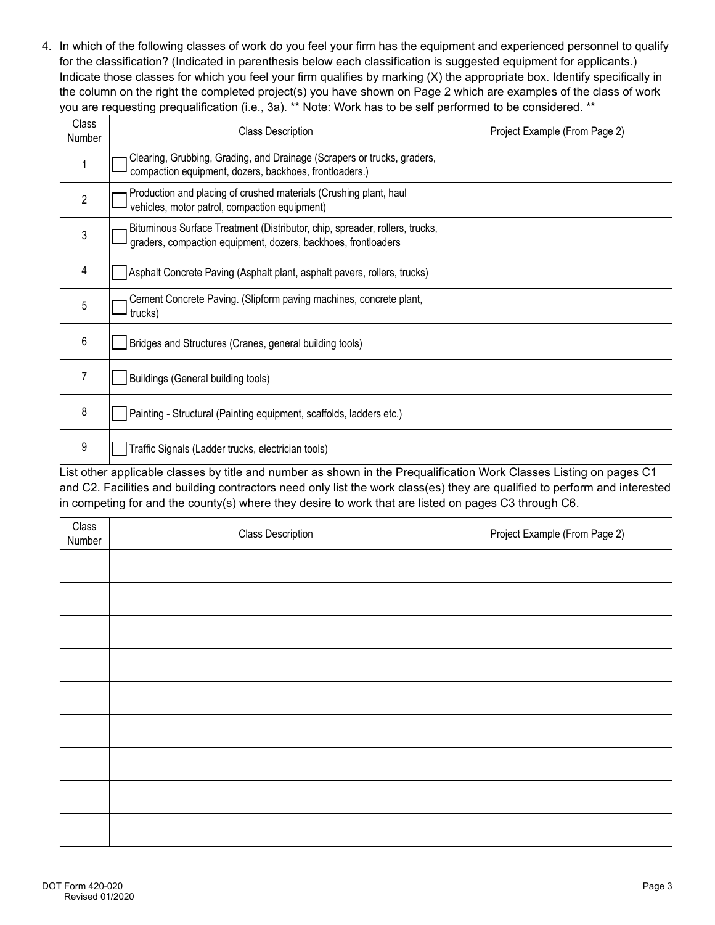4. In which of the following classes of work do you feel your firm has the equipment and experienced personnel to qualify for the classification? (Indicated in parenthesis below each classification is suggested equipment for applicants.) Indicate those classes for which you feel your firm qualifies by marking (X) the appropriate box. Identify specifically in the column on the right the completed project(s) you have shown on Page 2 which are examples of the class of work you are requesting prequalification (i.e., 3a). \*\* Note: Work has to be self performed to be considered. \*\*

| <b>Class</b><br><b>Number</b> | <b>Class Description</b>                                                                                                                     | Project Example (From Page 2) |
|-------------------------------|----------------------------------------------------------------------------------------------------------------------------------------------|-------------------------------|
|                               | Clearing, Grubbing, Grading, and Drainage (Scrapers or trucks, graders,<br>compaction equipment, dozers, backhoes, frontloaders.)            |                               |
| $\overline{2}$                | Production and placing of crushed materials (Crushing plant, haul<br>vehicles, motor patrol, compaction equipment)                           |                               |
| 3                             | Bituminous Surface Treatment (Distributor, chip, spreader, rollers, trucks,<br>graders, compaction equipment, dozers, backhoes, frontloaders |                               |
| 4                             | Asphalt Concrete Paving (Asphalt plant, asphalt pavers, rollers, trucks)                                                                     |                               |
| 5                             | Cement Concrete Paving. (Slipform paving machines, concrete plant,<br>trucks)                                                                |                               |
| 6                             | Bridges and Structures (Cranes, general building tools)                                                                                      |                               |
| 7                             | Buildings (General building tools)                                                                                                           |                               |
| 8                             | Painting - Structural (Painting equipment, scaffolds, ladders etc.)                                                                          |                               |
| 9                             | Traffic Signals (Ladder trucks, electrician tools)                                                                                           |                               |

List other applicable classes by title and number as shown in the Prequalification Work Classes Listing on pages C1 and C2. Facilities and building contractors need only list the work class(es) they are qualified to perform and interested in competing for and the county(s) where they desire to work that are listed on pages C3 through C6.

| Class<br>Number | <b>Class Description</b> | Project Example (From Page 2) |
|-----------------|--------------------------|-------------------------------|
|                 |                          |                               |
|                 |                          |                               |
|                 |                          |                               |
|                 |                          |                               |
|                 |                          |                               |
|                 |                          |                               |
|                 |                          |                               |
|                 |                          |                               |
|                 |                          |                               |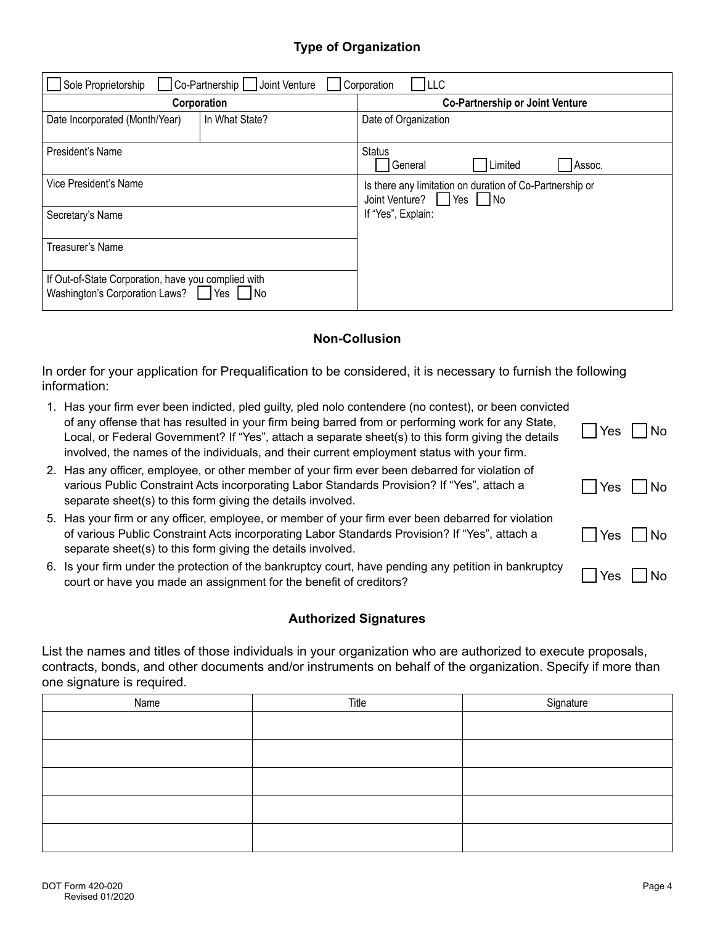# **Type of Organization**

| LLC <br>Co-Partnership   Joint Venture<br>Sole Proprietorship<br>Corporation                      |                |                                                                                   |  |  |
|---------------------------------------------------------------------------------------------------|----------------|-----------------------------------------------------------------------------------|--|--|
|                                                                                                   | Corporation    | <b>Co-Partnership or Joint Venture</b>                                            |  |  |
| Date Incorporated (Month/Year)                                                                    | In What State? | Date of Organization                                                              |  |  |
| President's Name                                                                                  |                | <b>Status</b><br>General<br>Limited<br>Assoc.                                     |  |  |
| Vice President's Name                                                                             |                | Is there any limitation on duration of Co-Partnership or<br>Joint Venture? Yes No |  |  |
| Secretary's Name                                                                                  |                | If "Yes", Explain:                                                                |  |  |
| Treasurer's Name                                                                                  |                |                                                                                   |  |  |
| If Out-of-State Corporation, have you complied with<br>Washington's Corporation Laws?   Yes<br>No |                |                                                                                   |  |  |

#### **Non-Collusion**

In order for your application for Prequalification to be considered, it is necessary to furnish the following information:

- Yes  $\bigsqcup$  No 1. Has your firm ever been indicted, pled guilty, pled nolo contendere (no contest), or been convicted of any offense that has resulted in your firm being barred from or performing work for any State, Local, or Federal Government? If "Yes", attach a separate sheet(s) to this form giving the details involved, the names of the individuals, and their current employment status with your firm. 2. Has any officer, employee, or other member of your firm ever been debarred for violation of
- Yes  $\bigsqcup$  No Yes  $\bigsqcup$  No various Public Constraint Acts incorporating Labor Standards Provision? If "Yes", attach a separate sheet(s) to this form giving the details involved. 5. Has your firm or any officer, employee, or member of your firm ever been debarred for violation of various Public Constraint Acts incorporating Labor Standards Provision? If "Yes", attach a
- separate sheet(s) to this form giving the details involved. 6. Is your firm under the protection of the bankruptcy court, have pending any petition in bankruptcy court or have you made an assignment for the benefit of creditors?

#### **Authorized Signatures**

List the names and titles of those individuals in your organization who are authorized to execute proposals, contracts, bonds, and other documents and/or instruments on behalf of the organization. Specify if more than one signature is required.

| Name | Title | Signature |
|------|-------|-----------|
|      |       |           |
|      |       |           |
|      |       |           |
|      |       |           |
|      |       |           |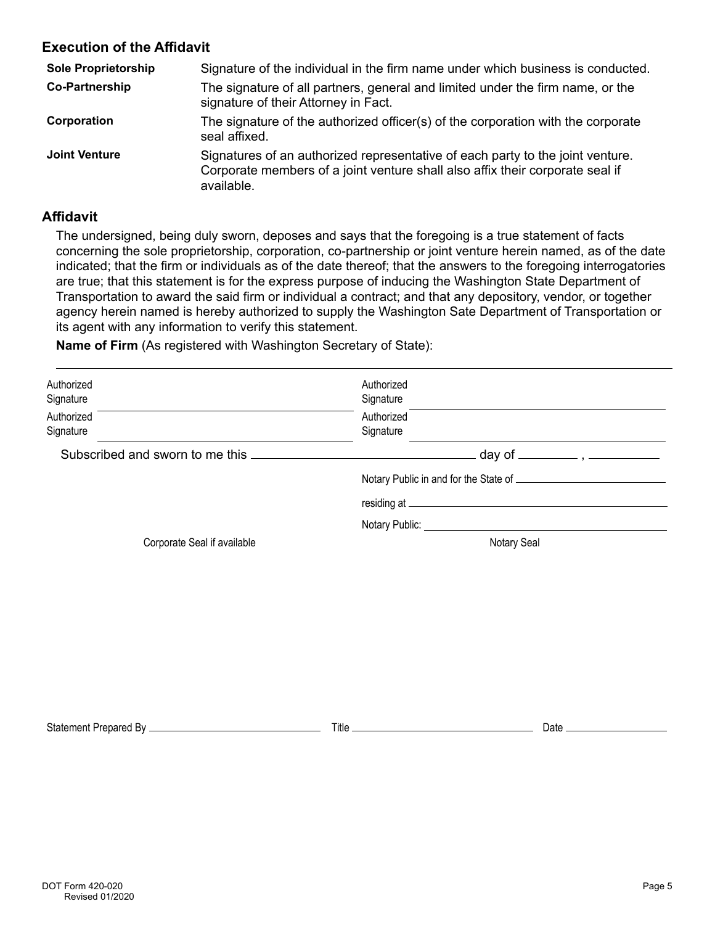# **Execution of the Affidavit**

| <b>Sole Proprietorship</b> | Signature of the individual in the firm name under which business is conducted.                                                                                               |
|----------------------------|-------------------------------------------------------------------------------------------------------------------------------------------------------------------------------|
| <b>Co-Partnership</b>      | The signature of all partners, general and limited under the firm name, or the<br>signature of their Attorney in Fact.                                                        |
| Corporation                | The signature of the authorized officer(s) of the corporation with the corporate<br>seal affixed.                                                                             |
| <b>Joint Venture</b>       | Signatures of an authorized representative of each party to the joint venture.<br>Corporate members of a joint venture shall also affix their corporate seal if<br>available. |

### **Affidavit**

The undersigned, being duly sworn, deposes and says that the foregoing is a true statement of facts concerning the sole proprietorship, corporation, co-partnership or joint venture herein named, as of the date indicated; that the firm or individuals as of the date thereof; that the answers to the foregoing interrogatories are true; that this statement is for the express purpose of inducing the Washington State Department of Transportation to award the said firm or individual a contract; and that any depository, vendor, or together agency herein named is hereby authorized to supply the Washington Sate Department of Transportation or its agent with any information to verify this statement.

**Name of Firm** (As registered with Washington Secretary of State):

| Authorized<br>Signature         | Authorized<br>Signature                          |  |  |
|---------------------------------|--------------------------------------------------|--|--|
| Authorized<br>Signature         | Authorized<br>Signature                          |  |  |
| Subscribed and sworn to me this | . day of _________ , __                          |  |  |
|                                 | Notary Public in and for the State of __________ |  |  |
|                                 | residing at _                                    |  |  |
|                                 | Notary Public:                                   |  |  |
| Corporate Seal if available     | Notary Seal                                      |  |  |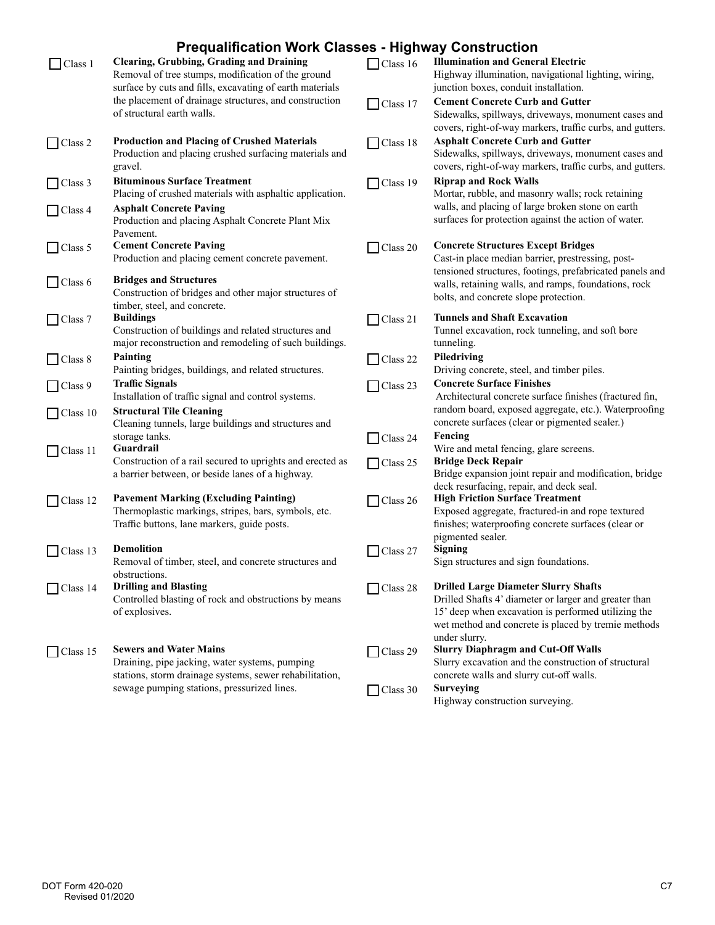# **Prequalification Work Classes - Highway Construction**

|                            | r requamncation work Glasses - mgmway Gonstruction                                                                                                                |                            |                                                                                                                                                                                                                                     |
|----------------------------|-------------------------------------------------------------------------------------------------------------------------------------------------------------------|----------------------------|-------------------------------------------------------------------------------------------------------------------------------------------------------------------------------------------------------------------------------------|
| Class 1                    | <b>Clearing, Grubbing, Grading and Draining</b><br>Removal of tree stumps, modification of the ground<br>surface by cuts and fills, excavating of earth materials | $\Box$ Class 16            | <b>Illumination and General Electric</b><br>Highway illumination, navigational lighting, wiring,<br>junction boxes, conduit installation.                                                                                           |
|                            | the placement of drainage structures, and construction<br>of structural earth walls.                                                                              | Class 17                   | <b>Cement Concrete Curb and Gutter</b><br>Sidewalks, spillways, driveways, monument cases and                                                                                                                                       |
| $\Box$ Class 2             | <b>Production and Placing of Crushed Materials</b><br>Production and placing crushed surfacing materials and<br>gravel.                                           | $\Box$ Class 18            | covers, right-of-way markers, traffic curbs, and gutters.<br><b>Asphalt Concrete Curb and Gutter</b><br>Sidewalks, spillways, driveways, monument cases and<br>covers, right-of-way markers, traffic curbs, and gutters.            |
| Class 3                    | <b>Bituminous Surface Treatment</b><br>Placing of crushed materials with asphaltic application.                                                                   | $\Box$ Class 19            | <b>Riprap and Rock Walls</b><br>Mortar, rubble, and masonry walls; rock retaining                                                                                                                                                   |
| $\bigcup$ Class 4          | <b>Asphalt Concrete Paving</b><br>Production and placing Asphalt Concrete Plant Mix<br>Pavement.                                                                  |                            | walls, and placing of large broken stone on earth<br>surfaces for protection against the action of water.                                                                                                                           |
| $\vert$ Class 5            | <b>Cement Concrete Paving</b><br>Production and placing cement concrete pavement.                                                                                 | Class 20                   | <b>Concrete Structures Except Bridges</b><br>Cast-in place median barrier, prestressing, post-                                                                                                                                      |
| $\Box$ Class 6             | <b>Bridges and Structures</b><br>Construction of bridges and other major structures of<br>timber, steel, and concrete.                                            |                            | tensioned structures, footings, prefabricated panels and<br>walls, retaining walls, and ramps, foundations, rock<br>bolts, and concrete slope protection.                                                                           |
| $\Box$ Class 7             | <b>Buildings</b><br>Construction of buildings and related structures and<br>major reconstruction and remodeling of such buildings.                                | $\Box$ Class 21            | <b>Tunnels and Shaft Excavation</b><br>Tunnel excavation, rock tunneling, and soft bore<br>tunneling.                                                                                                                               |
| $\neg$ Class 8             | Painting<br>Painting bridges, buildings, and related structures.                                                                                                  | $\Box$ Class 22            | Piledriving<br>Driving concrete, steel, and timber piles.                                                                                                                                                                           |
| $\Box$ Class 9             | <b>Traffic Signals</b><br>Installation of traffic signal and control systems.                                                                                     | Class 23                   | <b>Concrete Surface Finishes</b><br>Architectural concrete surface finishes (fractured fin,                                                                                                                                         |
| $\vert$ Class 10           | <b>Structural Tile Cleaning</b><br>Cleaning tunnels, large buildings and structures and                                                                           |                            | random board, exposed aggregate, etc.). Waterproofing<br>concrete surfaces (clear or pigmented sealer.)                                                                                                                             |
| $\Box$ Class 11            | storage tanks.<br>Guardrail                                                                                                                                       | Class 24                   | Fencing<br>Wire and metal fencing, glare screens.                                                                                                                                                                                   |
|                            | Construction of a rail secured to uprights and erected as<br>a barrier between, or beside lanes of a highway.                                                     | $\Box$ Class 25            | <b>Bridge Deck Repair</b><br>Bridge expansion joint repair and modification, bridge<br>deck resurfacing, repair, and deck seal.                                                                                                     |
| $\bigcap \text{Class } 12$ | <b>Pavement Marking (Excluding Painting)</b><br>Thermoplastic markings, stripes, bars, symbols, etc.<br>Traffic buttons, lane markers, guide posts.               | $\Box$ Class 26            | <b>High Friction Surface Treatment</b><br>Exposed aggregate, fractured-in and rope textured<br>finishes; waterproofing concrete surfaces (clear or                                                                                  |
| Class 13                   | <b>Demolition</b>                                                                                                                                                 | Class 27                   | pigmented sealer.<br><b>Signing</b>                                                                                                                                                                                                 |
|                            | Removal of timber, steel, and concrete structures and<br>obstructions.                                                                                            |                            | Sign structures and sign foundations.                                                                                                                                                                                               |
| $\bigcap$ Class 14         | <b>Drilling and Blasting</b><br>Controlled blasting of rock and obstructions by means<br>of explosives.                                                           | $\Box$ Class 28            | <b>Drilled Large Diameter Slurry Shafts</b><br>Drilled Shafts 4' diameter or larger and greater than<br>15' deep when excavation is performed utilizing the<br>wet method and concrete is placed by tremie methods<br>under slurry. |
| $\Box$ Class 15            | <b>Sewers and Water Mains</b><br>Draining, pipe jacking, water systems, pumping<br>stations, storm drainage systems, sewer rehabilitation,                        | $\Box$ Class 29            | <b>Slurry Diaphragm and Cut-Off Walls</b><br>Slurry excavation and the construction of structural<br>concrete walls and slurry cut-off walls.                                                                                       |
|                            | sewage pumping stations, pressurized lines.                                                                                                                       | Class 30<br>$\blacksquare$ | <b>Surveying</b><br>Highway construction surveying.                                                                                                                                                                                 |